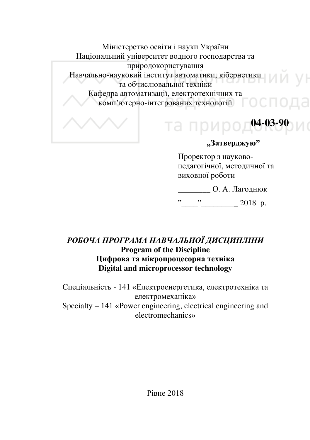Міністерство освіти і науки України Національний університет водного господарства та природокористування Навчально-науковий інститут автоматики, кібернетики та обчислювальної техніки Кафедра автоматизації, електротехнічних та комп'ютерно-інтегрованих технологій  $\Box$ 

# "Затверджую"

**04-03-90**

Проректор з науковопедагогічної, методичної та виховної роботи

та приро,

О. А. Лагоднюк

 $\frac{1}{2018}$  p.

# РОБОЧА ПРОГРАМА НАВЧАЛЬНОЇ ЛИСЦИПЛІНИ **Program of the Discipline Цифрова та мікропроцесорна техніка Digital and microprocessor technology**

Спеціальність - 141 «Електроенергетика, електротехніка та електромеханіка» Specialty – 141 «Power engineering, electrical engineering and electromechanics»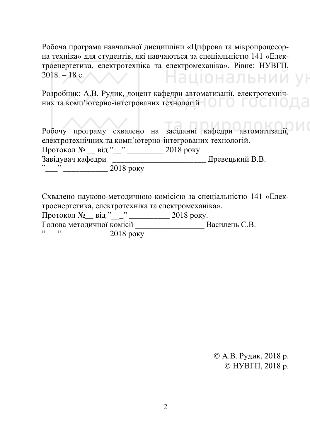Робоча програма навчальної дисципліни «Цифрова та мікропроцесорна техніка» для студентів, які навчаються за спеціальністю 141 «Електроенергетика, електротехніка та електромеханіка». Рівне: НУВГП,  $2018. - 18$  c. аціональнии ун

Розробник: А.В. Рудик, доцент кафедри автоматизації, електротехнічних та комп'ютерно-інтегрованих технологій

Робочу програму схвалено на засіданні кафедри автоматизації електротехнічних та комп'ютерно-інтегрованих технологій. Протокол № \_\_ від "\_\_" \_\_\_\_\_\_\_\_ 2018 року. Ɂɚɜɿɞɭɜɚɱ ɤɚɮɟɞɪɢ \_\_\_\_\_\_\_\_\_\_\_\_\_\_\_\_\_\_\_\_\_\_\_ Ⱦɪɟɜɟɰɶɤɢɣ ȼ.ȼ. "\_\_\_\_" \_\_\_\_\_\_\_\_\_\_\_\_\_ 2018 року

Схвалено науково-методичною комісією за спеціальністю 141 «Електроенергетика, електротехніка та електромеханіка».  $\frac{1}{2018}$  porokoπ  $N_2$  = Big "\_\_\_" \_\_\_\_\_\_\_\_\_\_\_ 2018 poky.

Голова методичної комісії \_\_\_\_\_\_\_\_\_\_\_\_\_\_\_\_\_\_\_\_\_\_\_\_\_ Василець С.В.

 $\frac{1}{2018}$  poky

© А.В. Рудик, 2018 р.  $©$  HYB $TH$ , 2018 p.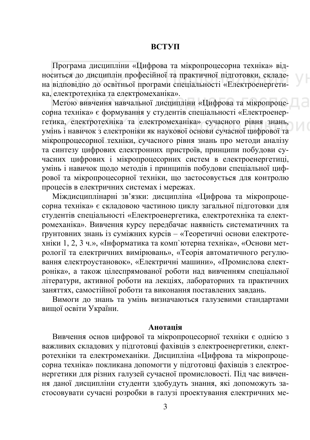#### **ВСТУП**

Програма дисципліни «Цифрова та мікропроцесорна техніка» відноситься до дисциплін професійної та практичної підготовки, складена відповідно до освітньої програми спеціальності «Електроенергетика, електротехніка та електромеханіка».

Метою вивчення навчальної дисципліни «Цифрова та мікропроцесорна техніка» є формування у студентів спеціальності «Електроенерrетика, електротехніка та електромеханіка» сучасного рівня знань, vмінь і навичок з електроніки як наукової основи сучасної цифрової та мікропроцесорної техніки, сучасного рівня знань про методи аналізу та синтезу цифрових електронних пристроїв, принципи побудови сучасних цифрових і мікропроцесорних систем в електроенергетиці, умінь і навичок щодо методів і принципів побудови спеціальної циф-•<br>**рової та мікропроцесорної техніки**, що застосовується для контролю процесів в електричних системах і мережах.

Міждисциплінарні зв'язки: дисципліна «Цифрова та мікропроцесорна техніка» є складовою частиною циклу загальної підготовки для студентів спеціальності «Електроенергетика, електротехніка та електромеханіка». Вивчення курсу передбачає наявність систематичних та трунтовних знань із суміжних курсів – «Теоретичні основи електротехніки 1, 2, 3 ч.», «Інформатика та комп'ютерна техніка», «Основи метрології та електричних вимірювань», «Теорія автоматичного регулювання електроустановок», «Електричні машини», «Промислова електроніка», а також цілеспрямованої роботи над вивченням спеціальної дітератури, активної роботи на лекціях, лабораторних та практичних заняттях, самостійної роботи та виконання поставлених завдань.

Вимоги до знань та умінь визначаються галузевими стандартами вищої освіти України.

#### Aнотанія

Вивчення основ цифрової та мікропроцесорної техніки є однією з важливих складових у підготовці фахівців з електроенергетики, електротехніки та електромеханіки. Дисципліна «Цифрова та мікропроцесорна техніка» покликана допомогти у підготовці фахівців з електроенергетики для різних галузей сучасної промисловості. Під час вивчення даної дисципліни студенти здобудуть знання, які допоможуть застосовувати сучасні розробки в галузі проектування електричних ме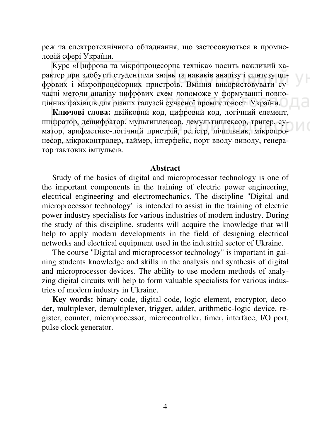реж та електротехнічного обладнання, що застосовуються в промисловій сфері України.

Курс «Цифрова та мікропроцесорна техніка» носить важливий характер при здобутті студентами знань та навиків аналізу і синтезу цифрових і мікропроцесорних пристроїв. Вміння використовувати сучасні методи аналізу цифрових схем допоможе у формуванні повноцінних фахівців для різних галузей сучасної промисловості України.

Ключові слова: двійковий код, цифровий код, логічний елемент, шифратор, дешифратор, мультиплексор, демультиплексор, тригер, суматор, арифметико-логічний пристрій, регістр, лічильник, мікропроцесор, мікроконтролер, таймер, інтерфейс, порт вводу-виводу, генератор тактових імпульсів.

#### **Ⱥbstract**

Study of the basics of digital and microprocessor technology is one of the important components in the training of electric power engineering, electrical engineering and electromechanics. The discipline "Digital and microprocessor technology" is intended to assist in the training of electric power industry specialists for various industries of modern industry. During the study of this discipline, students will acquire the knowledge that will help to apply modern developments in the field of designing electrical networks and electrical equipment used in the industrial sector of Ukraine.

The course "Digital and microprocessor technology" is important in gaining students knowledge and skills in the analysis and synthesis of digital and microprocessor devices. The ability to use modern methods of analyzing digital circuits will help to form valuable specialists for various industries of modern industry in Ukraine.

**Key words:** binary code, digital code, logic element, encryptor, decoder, multiplexer, demultiplexer, trigger, adder, arithmetic-logic device, register, counter, microprocessor, microcontroller, timer, interface, I/O port, pulse clock generator.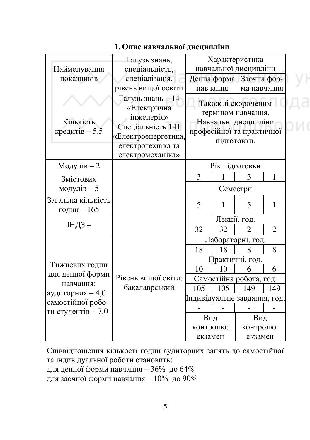|                                   | Галузь знань,                                                                                                                               |                   |              | Характеристика                                                                                 |                |  |  |
|-----------------------------------|---------------------------------------------------------------------------------------------------------------------------------------------|-------------------|--------------|------------------------------------------------------------------------------------------------|----------------|--|--|
| Найменування                      | спеціальність,                                                                                                                              |                   |              | навчальної дисципліни                                                                          |                |  |  |
| показників                        | спеціалізація,                                                                                                                              |                   | Денна форма  | Заочна фор-                                                                                    |                |  |  |
|                                   | рівень вищої освіти                                                                                                                         |                   | навчання     | ма навчання                                                                                    |                |  |  |
| Кількість<br>кредитів $-5.5$      | $\Gamma$ алузь знань - 14<br>«Електрична<br>інженерія»<br>Спеціальність 141<br>«Електроенергетика,<br>електротехніка та<br>електромеханіка» |                   | підготовки.  | Також зі скороченим<br>терміном навчання.<br>Навчальні дисципліни<br>професійної та практичної |                |  |  |
| Модулів-2                         |                                                                                                                                             |                   |              | Рік підготовки                                                                                 |                |  |  |
| Змістових                         |                                                                                                                                             | 3                 | 1            | 3                                                                                              | 1              |  |  |
| модулів — 5                       |                                                                                                                                             |                   | Семестри     |                                                                                                |                |  |  |
| Загальна кількість<br>годин – 165 |                                                                                                                                             | 5                 | 1            | 5                                                                                              | 1              |  |  |
|                                   |                                                                                                                                             |                   | Лекції, год. |                                                                                                |                |  |  |
| ІНДЗ-                             |                                                                                                                                             | 32                | 32           | $\overline{2}$                                                                                 | $\overline{2}$ |  |  |
|                                   |                                                                                                                                             | Лабораторні, год. |              |                                                                                                |                |  |  |
|                                   |                                                                                                                                             | 18                | 18           | 8                                                                                              | 8              |  |  |
|                                   |                                                                                                                                             |                   |              | Практичні, год.                                                                                |                |  |  |
| Тижневих годин                    |                                                                                                                                             | 10                | 10           | 6                                                                                              | 6              |  |  |
| для денної форми<br>навчання:     | Рівень вищої світи:                                                                                                                         |                   |              | Самостійна робота, год.                                                                        |                |  |  |
| аудиторних - 4,0                  | бакалаврський                                                                                                                               | 105               | 105          | 149                                                                                            | 149            |  |  |
| самостійної робо-                 |                                                                                                                                             |                   |              | Індивідуальне завдання, год                                                                    |                |  |  |
| ти студентів - 7,0                |                                                                                                                                             |                   |              |                                                                                                |                |  |  |
|                                   |                                                                                                                                             | Вид               |              | Вид                                                                                            |                |  |  |
|                                   |                                                                                                                                             | контролю:         |              | контролю:                                                                                      |                |  |  |
|                                   |                                                                                                                                             | екзамен           |              | екзамен                                                                                        |                |  |  |

# 1. Опис навчальної дисципліни

Співвідношення кількості годин аудиторних занять до самостійної та індивідуальної роботи становить:

для денної форми навчання – 36% до 64%

для заочної форми навчання - 10% до 90%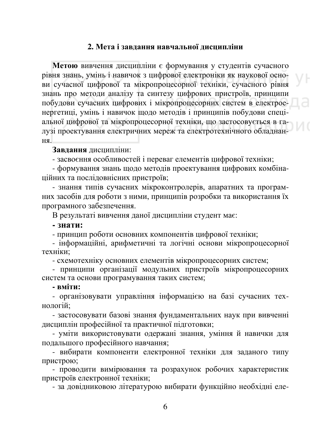## 2. Мета і завлання навчальної дисципліни

Метою вивчення дисципліни є формування у студентів сучасного рівня знань, умінь і навичок з цифрової електроніки як наукової основи сучасної цифрової та мікропроцесорної техніки, сучасного рівня знань про методи аналізу та синтезу цифрових пристроїв, принципи побудови сучасних цифрових і мікропроцесорних систем в електроенергетиці, умінь і навичок щодо методів і принципів побудови спеціальної цифрової та мікропроцесорної техніки, що застосовується в галузі проектування електричних мереж та електротехнічного обладнання.

#### Завлання лиспипліни:

- засвоєння особливостей і переваг елементів цифрової техніки;

- формування знань щодо методів проектування цифрових комбінашійних та посліловнісних пристроїв:

- знання типів сучасних мікроконтролерів, апаратних та програмних засобів для роботи з ними, принципів розробки та використання їх програмного забезпечення.

В результаті вивчення даної дисципліни студент має:

#### **- ЗНАТИ:**

- принцип роботи основних компонентів цифрової техніки;

- інформаційні, арифметичні та логічні основи мікропроцесорної техніки:

- схемотехніку основних елементів мікропроцесорних систем;

- принципи організації модульних пристроїв мікропроцесорних систем та основи програмування таких систем;

#### **- вміти:**

- організовувати управління інформацією на базі сучасних технологій:

- застосовувати базові знання фундаментальних наук при вивченні дисциплін професійної та практичної підготовки;

- уміти використовувати одержані знання, уміння й навички для подальшого професійного навчання;

- вибирати компоненти електронної техніки для заданого типу пристрою;

- проводити вимірювання та розрахунок робочих характеристик пристроїв електронної техніки;

- за довідниковою літературою вибирати функційно необхідні еле-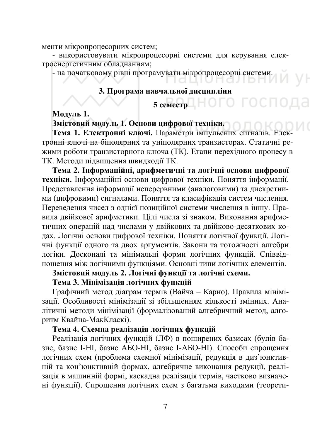менти мікропроцесорних систем;

- використовувати мікропроцесорні системи для керування електроенергетичним обладнанням;

- на початковому рівні програмувати мікропроцесорні системи.

#### 3. Програма навчальної дисципліни

# **5 ɫɟɦɟɫɬɪ**

**Модуль 1.** 

Змістовий модуль 1. Основи цифрової техніки.

Тема 1. Електронні ключі. Параметри імпульсних сигналів. Електронні ключі на біполярних та уніполярних транзисторах. Статичні режими роботи транзисторного ключа (ТК). Етапи перехідного процесу в ТК. Методи підвищення швидкодії ТК.

Тема 2. Інформаційні, арифметичні та логічні основи цифрової техніки. Інформаційні основи цифрової техніки. Поняття інформації. Представлення інформації неперервними (аналоговими) та дискретними (цифровими) сигналами. Поняття та класифікація систем числення. Переведення чисел з однієї позиційної системи числення в іншу. Правила двійкової арифметики. Цілі числа зі знаком. Виконання арифметичних операцій над числами у двійкових та двійково-десяткових кодах. Логічні основи цифрової техніки. Поняття логічної функції. Логічні функції одного та двох аргументів. Закони та тотожності алгебри логіки. Досконалі та мінімальні форми логічних функцій. Співвідношення між логічними функціями. Основні типи логічних елементів.

Змістовий модуль 2. Логічні функції та логічні схеми.

Тема 3. Мінімізація логічних функцій

Графічний метод діаграм термів (Вайча – Карно). Правила мінімізації. Особливості мінімізації зі збільшенням кількості змінних. Аналітичні методи мінімізації (формалізований алгебричний метод, алгоритм Квайна-МакКласкі).

# Тема 4. Схемна реалізація логічних функцій

Реалізація логічних функцій (ЛФ) в поширених базисах (булів базис, базис І-НІ, базис АБО-НІ, базис І-АБО-НІ). Способи спрощення логічних схем (проблема схемної мінімізації, редукція в диз'юнктивній та кон'юнктивній формах, алгебричне виконання редукції, реалізація в машинній формі, каскадна реалізація термів, частково визначені функції). Спрощення логічних схем з багатьма виходами (теорети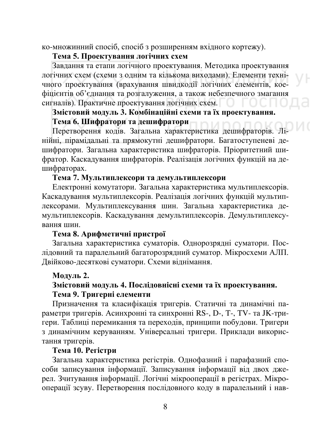ко-множинний спосіб, спосіб з розширенням вхідного кортежу).

# Тема 5. Проектування логічних схем

Завдання та етапи логічного проектування. Методика проектування логічних схем (схеми з одним та кількома виходами). Елементи технічного проектування (врахування швидкодії логічних елементів, коефіцієнтів об'єднання та розгалуження, а також небезпечного змагання сигналів). Практичне проектування логічних схем.

# Змістовий модуль 3. Комбінаційні схеми та їх проектування. Тема 6. Шифратори та дешифратори

Перетворення кодів. Загальна характеристика дешифраторів. Лінійні, пірамідальні та прямокутні дешифратори. Багатоступеневі дешифратори. Загальна характеристика шифраторів. Пріоритетний шифратор. Каскадування шифраторів. Реалізація логічних функцій на дешифраторах.

# Тема 7. Мультиплексори та демультиплексори

Електронні комутатори. Загальна характеристика мультиплексорів. Каскадування мультиплексорів. Реалізація логічних функцій мультиплексорами. Мультиплексування шин. Загальна характеристика демультиплексорів. Каскадування демультиплексорів. Демультиплексування шин.

### Тема 8. Арифметичні пристрої

Загальна характеристика суматорів. Однорозрядні суматори. Послідовний та паралельний багаторозрядний суматор. Мікросхеми АЛП. Двійково-десяткові суматори. Схеми віднімання.

### Модуль 2.

# Змістовий модуль 4. Послідовнісні схеми та їх проектування. Тема 9. Тригерні елементи

Призначення та класифікація тригерів. Статичні та динамічні параметри тригерів. Асинхронні та синхронні RS-, D-, T-, TV- та JK-тригери. Таблиці перемикання та переходів, принципи побудови. Тригери з динамічним керуванням. Універсальні тригери. Приклади використання тригерів.

# Tема 10. Регістри

Загальна характеристика регістрів. Однофазний і парафазний способи записування інформації. Записування інформації від двох джерел. Зчитування інформації. Логічні мікрооперації в регістрах. Мікрооперації зсуву. Перетворення послідовного коду в паралельний і нав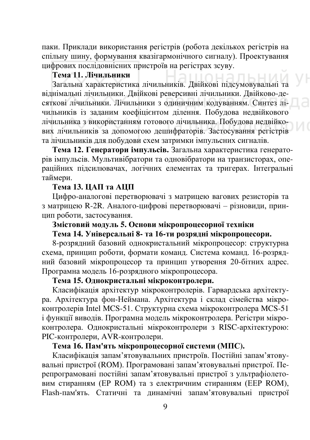паки. Приклади використання регістрів (робота декількох регістрів на спільну шину, формування квазігармонічного сигналу). Проектування цифрових послідовнісних пристроїв на регістрах зсуву.

# $\widetilde{\bf T}$ ема 11. Лічильники

Загальна характеристика лічильників. Двійкові підсумовувальні та віднімальні лічильники. Двійкові реверсивні лічильники. Двійково-десяткові лічильники. Лічильники з одиничним кодуванням. Синтез лічильників із заданим коефіцієнтом ділення. Побудова недвійкового лічильника з використанням готового лічильника. Побудова недвійкових лічильників за допомогою дешифраторів. Застосування регістрів та лічильників для побудови схем затримки імпульсних сигналів.

Тема 12. Генератори імпульсів. Загальна характеристика генераторів імпульсів. Мультивібратори та одновібратори на транзисторах, опеа́раційних підсилювачах, логічних елементах та тригерах. Інтегральні таймери.

# **Тема 13. ЦАП та АШП**

Цифро-аналогові перетворювачі з матрицею вагових резисторів та з матрицею R-2R. Аналого-цифрові перетворювачі – різновиди, принцип роботи, застосування.

# Змістовий модуль 5. Основи мікропроцесорної техніки

# Тема 14. Універсальні 8- та 16-ти розрядні мікропроцесори.

8-розрядний базовий однокристальний мікропроцесор: структурна схема, принцип роботи, формати команд. Система команд. 16-розрядний базовий мікропроцесор та принцип утворення 20-бітних адрес. Програмна модель 16-розрядного мікропроцесора.

# Тема 15. Однокристальні мікроконтролери.

Класифікація архітектур мікроконтролерів. Гарвардська архітектура. Архітектура фон-Неймана. Архітектура і склад сімейства мікроконтролерів Intel MCS-51. Структурна схема мікроконтролера MCS-51 і функції виводів. Програмна модель мікроконтролера. Регістри мікроконтролера. Однокристальні мікроконтролери з RISC-архітектурою:  $\overrightarrow{PIC}$ -контролери,  $\overrightarrow{AVR}$ -контролери.

# Тема 16. Пам'ять мікропроцесорної системи (МПС).

Класифікація запам'ятовувальних пристроїв. Постійні запам'ятовувальні пристрої (ROM). Програмовані запам'ятовувальні пристрої. Перепрограмовані постійні запам'ятовувальні пристрої з ультрафіолетовим стиранням (ЕР ROM) та з електричним стиранням (ЕЕР ROM), Flash-пам'ять. Статичні та динамічні запам'ятовувальні пристрої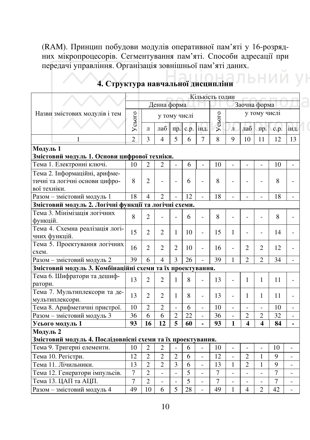(RAM). Принцип побудови модулів оперативної пам'яті у 16-розрядних мікропроцесорів. Сегментування пам'яті. Способи адресації при передачі управління. Організація зовнішньої пам'яті даних.

|                                                                                 |                |                          |                          |                          |      |                | Кількість годин |                          |                          |                              |                |                          |
|---------------------------------------------------------------------------------|----------------|--------------------------|--------------------------|--------------------------|------|----------------|-----------------|--------------------------|--------------------------|------------------------------|----------------|--------------------------|
|                                                                                 |                |                          | Денна форма              |                          |      |                |                 |                          |                          | Заочна форма                 |                |                          |
| Назви змістових модулів і тем                                                   | Усього         |                          | у тому числі             |                          |      |                | Усього          |                          |                          | у тому числі                 |                |                          |
|                                                                                 |                | Л                        | лаб                      | пp.                      | c.p. | інд.           |                 | $\bar{\Pi}$              | лаб                      | пр.                          | c.p.           | інд.                     |
| $\mathbf{1}$                                                                    | $\overline{c}$ | 3                        | 4                        | 5                        | 6    | 7              | 8               | $\mathbf Q$              | 10                       | 11                           | 12             | 13                       |
| Модуль 1                                                                        |                |                          |                          |                          |      |                |                 |                          |                          |                              |                |                          |
| Змістовий модуль 1. Основи цифрової техніки.                                    |                |                          |                          |                          |      |                |                 |                          |                          |                              |                |                          |
| Тема 1. Електронні ключі.                                                       | 10             | $\overline{2}$           | 2                        | $\overline{\phantom{0}}$ | 6    | $\overline{a}$ | 10              | $\overline{a}$           | $\overline{\phantom{a}}$ | $\qquad \qquad \blacksquare$ | 10             | $\overline{\phantom{0}}$ |
| Тема 2. Інформаційні, арифме-<br>тичні та логічні основи цифро-<br>вої техніки. | 8              | $\overline{2}$           | $\overline{a}$           | $\overline{a}$           | 6    | $\overline{a}$ | 8               |                          |                          |                              | 8              | -                        |
| Разом - змістовий модуль 1                                                      | 18             | $\overline{\mathcal{A}}$ | $\mathfrak{D}$           |                          | 12   | $\overline{a}$ | 18              |                          |                          |                              | 18             | $\overline{\phantom{0}}$ |
| Змістовий модуль 2. Логічні функції та логічні схеми.                           |                |                          |                          |                          |      |                |                 |                          |                          |                              |                |                          |
| Тема 3. Мінімізація логічних<br>функцій.                                        | 8              | $\overline{c}$           | $\overline{a}$           | $\overline{a}$           | 6    | $\overline{a}$ | 8               | $\overline{a}$           |                          | $\overline{a}$               | 8              | $\overline{a}$           |
| Тема 4. Схемна реалізація логі-<br>чних функцій.                                | 15             | $\overline{2}$           | $\overline{2}$           | 1                        | 10   | $\overline{a}$ | 15              | 1                        | $\overline{a}$           | $\overline{\phantom{0}}$     | 14             | $\overline{\phantom{0}}$ |
| Тема 5. Проектування логічних<br>схем.                                          |                | $\mathfrak{D}$           | $\mathfrak{D}$           | $\mathfrak{D}$           | 10   | $\overline{a}$ | 16              | $\overline{a}$           | $\mathfrak{D}$           | $\mathcal{D}_{\mathcal{L}}$  | 12             | $\overline{a}$           |
| Разом - змістовий модуль 2                                                      | 39             | 6                        | $\overline{\mathcal{A}}$ | $\overline{\mathcal{E}}$ | 26   |                | 39              | 1                        | $\mathfrak{D}$           | $\mathfrak{D}$               | 34             |                          |
| Змістовий модуль 3. Комбінаційні схеми та їх проектування.                      |                |                          |                          |                          |      |                |                 |                          |                          |                              |                |                          |
| Тема 6. Шифратори та дешиф-<br>ратори.                                          | 13             | $\overline{2}$           | $\overline{2}$           | 1                        | 8    | $\overline{a}$ | 13              | $\overline{a}$           | 1                        | 1                            | 11             | $\overline{a}$           |
| Тема 7. Мультиплексори та де-<br>мультиплексори.                                | 13             | $\overline{2}$           | $\overline{2}$           | 1                        | 8    | $\overline{a}$ | 13              | $\overline{a}$           | 1                        | 1                            | 11             | $\overline{a}$           |
| Тема 8. Арифметичні пристрої.                                                   | 10             | $\overline{2}$           | $\overline{c}$           | $\overline{a}$           | 6    | $\overline{a}$ | 10              | $\overline{a}$           | $\overline{a}$           | $\overline{a}$               | 10             | $\overline{\phantom{0}}$ |
| Разом - змістовий модуль 3                                                      | 36             | 6                        | 6                        | $\overline{c}$           | 22   | $\overline{a}$ | 36              | $\frac{1}{2}$            | $\overline{c}$           | $\overline{2}$               | 32             | $\overline{\phantom{0}}$ |
| Усього модуль 1                                                                 | 93             | 16                       | 12                       | 5                        | 60   | ä,             | 93              | $\mathbf{1}$             | $\overline{\mathbf{4}}$  | $\overline{\mathbf{4}}$      | 84             | ä,                       |
| Модуль 2                                                                        |                |                          |                          |                          |      |                |                 |                          |                          |                              |                |                          |
| Змістовий модуль 4. Послідовнісні схеми та їх проектування.                     |                |                          |                          |                          |      |                |                 |                          |                          |                              |                |                          |
| Тема 9. Тригерні елементи.                                                      | 10             | $\overline{c}$           | $\overline{2}$           | $\overline{a}$           | 6    |                | 10              | $\overline{\phantom{0}}$ | $\frac{1}{2}$            | $\qquad \qquad \blacksquare$ | 10             | $\overline{\phantom{0}}$ |
| Тема 10. Регістри.                                                              |                | $\overline{2}$           | $\overline{2}$           | $\overline{2}$           | 6    | $\overline{a}$ | 12              | $\overline{a}$           | $\overline{c}$           | 1                            | $\mathbf Q$    | $\overline{a}$           |
| Тема 11. Лічильники.                                                            | 13             | $\overline{2}$           | $\overline{2}$           | 3                        | 6    | $\overline{a}$ | 13              | 1                        | $\overline{2}$           | 1                            | 9              |                          |
| Тема 12. Генератори імпульсів.                                                  | $\overline{7}$ | $\overline{2}$           | $\overline{a}$           | $\overline{a}$           | 5    | $\overline{a}$ | $\overline{7}$  |                          |                          |                              | 7              |                          |
| Тема 13. ЦАП та АЦП.                                                            | $\overline{7}$ | $\overline{c}$           | $\overline{a}$           | $\overline{a}$           | 5    |                | $\overline{7}$  |                          |                          |                              | $\overline{7}$ |                          |
| Разом - змістовий модуль 4                                                      | 49             | 10                       | 6                        | $\overline{5}$           | 28   |                | 49              | 1                        | $\overline{\mathcal{L}}$ | $\mathfrak{D}$               | 42             |                          |

# 4. Структура навчальної дисципліни ВНИЙ УН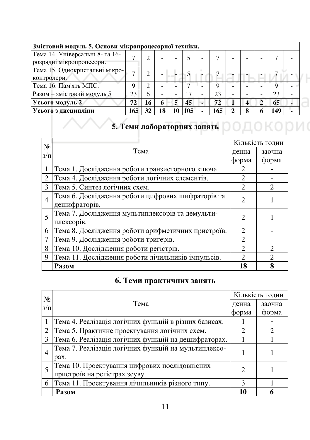| Змістовий модуль 5. Основи мікропроцесорної техніки.        |     |    |    |  |     |   |     |                          |   |   |     |  |
|-------------------------------------------------------------|-----|----|----|--|-----|---|-----|--------------------------|---|---|-----|--|
| Тема 14. Універсальні 8- та 16-<br>розрядні мікропроцесори. |     |    |    |  |     |   |     |                          |   |   |     |  |
| Тема 15. Однокристальні мікро-<br>контролери.               |     |    |    |  |     |   |     |                          |   |   |     |  |
| Тема 16. Пам'ять МПС.                                       | Q   | ↑  |    |  |     |   |     |                          |   |   | Q   |  |
| Разом - змістовий модуль 5                                  |     | 6  |    |  | 17  |   | 23  | $\overline{\phantom{0}}$ |   |   | 23  |  |
| Усього модуль 2                                             |     | 16 | 6  |  | 45  | ۰ | 72  |                          |   | 2 | 65  |  |
| Усього з дисципліни                                         | 165 | 32 | 18 |  | 105 | ۰ | 165 | 2                        | 8 | 6 | 149 |  |

# **◆ 5. Теми лабораторних занять** ◎ ○Д○К○РИ (

| $N_2$                       |                                                    | Кількість годин             |                             |  |  |
|-----------------------------|----------------------------------------------------|-----------------------------|-----------------------------|--|--|
| $3/\Pi$                     | Тема                                               | денна                       | заочна                      |  |  |
|                             |                                                    | форма                       | форма                       |  |  |
|                             | Тема 1. Дослідження роботи транзисторного ключа.   |                             |                             |  |  |
| $\mathcal{D}_{\mathcal{L}}$ | Тема 4. Дослідження роботи логічних елементів.     | $\mathcal{D}_{\mathcal{L}}$ |                             |  |  |
| 3                           | Тема 5. Синтез логічних схем.                      | $\mathfrak{D}$              | $\mathfrak{D}$              |  |  |
| $\overline{4}$              | Тема 6. Дослідження роботи цифрових шифраторів та  | $\mathfrak{D}$              |                             |  |  |
|                             | дешифраторів.                                      |                             |                             |  |  |
| 5                           | Тема 7. Дослідження мультиплексорів та демульти-   | $\mathfrak{D}$              |                             |  |  |
|                             | плексорів.                                         |                             |                             |  |  |
| 6                           | Тема 8. Дослідження роботи арифметичних пристроїв. | $\mathcal{D}_{\mathcal{L}}$ |                             |  |  |
|                             | Тема 9. Дослідження роботи тригерів.               | $\mathfrak{D}$              |                             |  |  |
| 8                           | Тема 10. Дослідження роботи регістрів.             | $\mathcal{D}$               | $\mathcal{D}_{\mathcal{L}}$ |  |  |
| 9                           | Тема 11. Дослідження роботи лічильників імпульсів. | $\mathcal{D}$               | $\mathcal{D}_{\mathcal{A}}$ |  |  |
|                             | Разом                                              | 18                          | 8                           |  |  |

# **6. Теми практичних занять**

| $N_2$          |                                                       | Кількість годин             |                       |  |
|----------------|-------------------------------------------------------|-----------------------------|-----------------------|--|
| $3/\Pi$        | Тема                                                  | денна                       | заочна                |  |
|                |                                                       | форма                       | форма                 |  |
|                | Тема 4. Реалізація логічних функцій в різних базисах. |                             |                       |  |
|                | Тема 5. Практичне проектування логічних схем.         |                             | $\mathcal{D}_{\cdot}$ |  |
|                | Тема 6. Реалізація логічних функцій на дешифраторах.  |                             |                       |  |
| $\overline{4}$ | Тема 7. Реалізація логічних функцій на мультиплексо-  |                             |                       |  |
|                | pax.                                                  |                             |                       |  |
| 5              | Тема 10. Проектування цифрових послідовнісних         | $\mathcal{D}_{\mathcal{A}}$ |                       |  |
|                | пристроїв на регістрах зсуву.                         |                             |                       |  |
| 6              | Тема 11. Проектування лічильників різного типу.       | $\mathcal{R}$               |                       |  |
|                | Разом                                                 | 10                          |                       |  |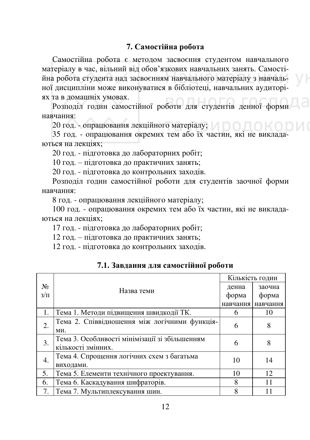### **7. Самостійна робота**

Самостійна робота є методом засвоєння студентом навчального матеріалу в час, вільний від обов'язкових навчальних занять. Самостійна робота студента над засвоєнням навчального матеріалу з навчальної дисципліни може виконуватися в бібліотеці, навчальних аудиторіях та в домашніх умовах.

Розподіл годин самостійної роботи для студентів денної форми навчання:

20 год. - опрацювання лекційного матеріалу; а и о П

35 год. - опрацювання окремих тем або їх частин, які не викладаються на лекціях;

20 год. - підготовка до лабораторних робіт;

10 год. – підготовка до практичних занять;

20 год. - підготовка до контрольних заходів.

Розподіл годин самостійної роботи для студентів заочної форми навчання:

8 год. - опрацювання лекційного матеріалу;

100 год. - опрацювання окремих тем або їх частин, які не викладаються на лекціях;

17 год. - підготовка до лабораторних робіт;

12 год. – підготовка до практичних занять;

12 год. - підготовка до контрольних заходів.

|         |                                                | Кількість годин |                   |  |  |
|---------|------------------------------------------------|-----------------|-------------------|--|--|
| $N_2$   | Назва теми                                     | денна           | заочна            |  |  |
| $3/\Pi$ |                                                | форма           | форма             |  |  |
|         |                                                |                 | навчання навчання |  |  |
|         | Тема 1. Методи підвищення швидкодії ТК.        | 6               | 10                |  |  |
| 2.      | Тема 2. Співвідношення між логічними функція-  | 6               | 8                 |  |  |
|         | ΜИ.                                            |                 |                   |  |  |
| 3.      | Тема 3. Особливості мінімізації зі збільшенням | 6               | 8                 |  |  |
|         | кількості змінних.                             |                 |                   |  |  |
| 4.      | Тема 4. Спрощення логічних схем з багатьма     | 10              | 14                |  |  |
|         | виходами.                                      |                 |                   |  |  |
| 5.      | Тема 5. Елементи технічного проектування.      | 10              | 12                |  |  |
| 6.      | Тема 6. Каскадування шифраторів.               | 8               | 11                |  |  |
| 7.      | Тема 7. Мультиплексування шин.                 | 8               |                   |  |  |

#### 7.1. Завдання для самостійної роботи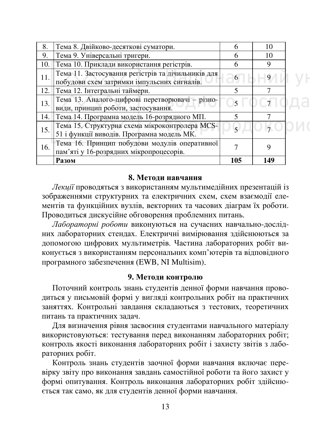| 8.  | Тема 8. Двійково-десяткові суматори.                                                              |     | 10  |
|-----|---------------------------------------------------------------------------------------------------|-----|-----|
| 9.  | Тема 9. Універсальні тригери.                                                                     |     | 10  |
| 10. | Тема 10. Приклади використання регістрів.                                                         |     | 9   |
| 11. | Тема 11. Застосування регістрів та лічильників для<br>побудови схем затримки імпульсних сигналів. | 6   |     |
| 12. | Тема 12. Інтегральні таймери.                                                                     |     |     |
| 13. | Тема 13. Аналого-цифрові перетворювачі - різно-<br>види, принцип роботи, застосування.            |     |     |
| 14. | Тема 14. Програмна модель 16-розрядного МП.                                                       |     |     |
| 15. | Тема 15. Структурна схема мікроконтролера MCS-<br>51 і функції виводів. Програмна модель МК.      |     |     |
| 16. | Тема 16. Принцип побудови модулів оперативної<br>пам'яті у 16-розрядних мікропроцесорів.          |     |     |
|     | Разом                                                                                             | 105 | 149 |

#### $8.$  Метоли навчання

Лекції проводяться з використанням мультимедійних презентацій із зображеннями структурних та електричних схем, схем взаємодії елементів та функційних вузлів, векторних та часових діаграм їх роботи. Проводиться дискусійне обговорення проблемних питань.

Лабораторні роботи виконуються на сучасних навчально-дослідних лабораторних стендах. Електричні вимірювання здійснюються за допомогою цифрових мультиметрів. Частина лабораторних робіт виконується з використанням персональних комп'ютерів та відповідного програмного забезпечення (EWB, NI Multisim).

#### 9. Методи контролю

Поточний контроль знань студентів денної форми навчання проводиться у письмовій формі у вигляді контрольних робіт на практичних заняттях. Контрольні завдання складаються з тестових, теоретичних питань та практичних задач.

Для визначення рівня засвоєння студентами навчального матеріалу використовуються: тестування перед виконанням лабораторних робіт; контроль якості виконання лабораторних робіт і захисту звітів з лабораторних робіт.

Контроль знань студентів заочної форми навчання включає перевірку звіту про виконання завдань самостійної роботи та його захист у формі опитування. Контроль виконання лабораторних робіт здійснюється так само, як для студентів денної форми навчання.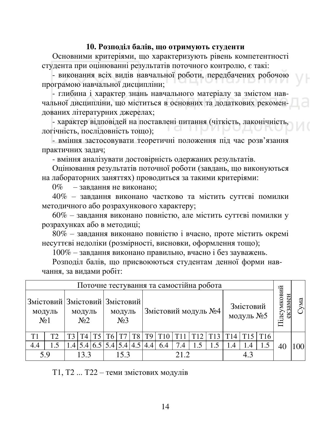#### 10. Розполіл балів, що отримують студенти

Основними критеріями, що характеризують рівень компетентності студента при оцінюванні результатів поточного контролю, є такі:

- виконання всіх видів навчальної роботи, передбачених робочою програмою навчальної дисципліни;

- глибина і характер знань навчального матеріалу за змістом навчальної дисципліни, що міститься в основних та додаткових рекомендованих літературних джерелах;

- характер відповідей на поставлені питання (чіткість, лаконічність, логічність, послідовність тощо);

- вміння застосовувати теоретичні положення під час розв'язання практичних задач;

- вміння аналізувати достовірність одержаних результатів.

Оцінювання результатів поточної роботи (завдань, що виконуються на лабораторних заняттях) проводиться за такими критеріями:

0% – завлання не виконано:

40% – завдання виконано частково та містить суттєві помилки методичного або розрахункового характеру;

60% – завдання виконано повністю, але містить суттєві помилки у розрахунках або в методиці;

 $80\%$  – завдання виконано повністю і вчасно, проте містить окремі несуттєві недоліки (розмірності, висновки, оформлення тощо);

 $100\%$  – завдання виконано правильно, вчасно і без зауважень.

Розподіл балів, що присвоюються студентам денної форми навчання, за видами робіт:

| Поточне тестування та самостійна робота |                                         |  |                          |  |    |                            |  |                                           |                     |      |     |                 |     |                        |                        |    |     |
|-----------------------------------------|-----------------------------------------|--|--------------------------|--|----|----------------------------|--|-------------------------------------------|---------------------|------|-----|-----------------|-----|------------------------|------------------------|----|-----|
| N <sub>2</sub> 1                        | Змістовий Змістовий Змістовий<br>модуль |  | модуль<br>N <sub>2</sub> |  |    | модуль<br>N <sub>2</sub> 3 |  |                                           | Змістовий модуль №4 |      |     |                 |     | Змістовий<br>модуль №5 | Підсумковий<br>екзамен | мa |     |
| T1                                      | T2                                      |  | T4                       |  | Т6 |                            |  | Т9                                        |                     |      |     | T <sub>13</sub> |     |                        | T <sub>16</sub>        |    |     |
| 4.4                                     | 1.5                                     |  |                          |  |    |                            |  | $1.4$   5.4   6.5   5.4   5.4   4.5   4.4 | 6.4                 | 7.4  | 1.5 |                 | 1.4 | 1.4                    | 1.5                    | 40 | 100 |
|                                         | 5 Q                                     |  | 13.3                     |  |    | 15.3                       |  |                                           |                     | 21 2 |     |                 |     | 4.3                    |                        |    |     |

 $T1, T2, T22 -$ теми змістових модулів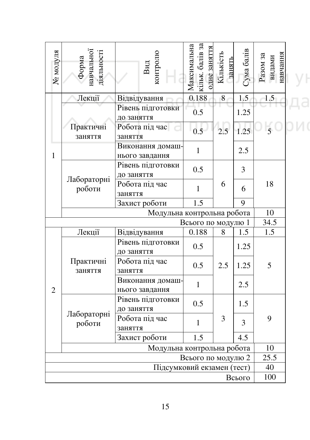| № модуля       | Форма<br>навчальної<br>діяльності | контролю<br>${\bf B}$ ид           | кільк. балів за<br>Максимальна<br>одне заняття | Кількість<br>занять | Сума балів | навчання<br>$P$ a30 $M$ 3a<br>видами |  |
|----------------|-----------------------------------|------------------------------------|------------------------------------------------|---------------------|------------|--------------------------------------|--|
|                | Лекції                            | Відвідування                       | 0.188                                          | 8                   | 1.5        | 1.5                                  |  |
|                |                                   | Рівень підготовки<br>до заняття    | 0.5                                            |                     | 1.25       |                                      |  |
|                | Практичні<br>заняття              | Робота під час<br>заняття          | 0.5                                            | 2.5                 | 1.25       | $\overline{5}$                       |  |
| 1              |                                   | Виконання домаш-<br>нього завдання | $\mathbf{1}$                                   |                     | 2.5        |                                      |  |
|                |                                   | Рівень підготовки<br>до заняття    | 0.5                                            |                     | 3          |                                      |  |
|                | Лабораторні<br>роботи             | Робота під час<br>заняття          | $\mathbf{1}$                                   | 6                   | 6          | 18                                   |  |
|                |                                   | Захист роботи                      | 1.5                                            |                     | 9          |                                      |  |
|                |                                   | Модульна контрольна робота         |                                                |                     |            | 10                                   |  |
|                |                                   |                                    | Всього по модулю 1                             |                     |            | 34.5                                 |  |
|                | Лекції                            | Відвідування                       | 0.188                                          | 8                   | 1.5        | 1.5                                  |  |
|                |                                   | Рівень підготовки<br>до заняття    | 0.5                                            |                     | 1.25       |                                      |  |
|                | Практичні<br>заняття              | Робота під час<br>заняття          | 2.5<br>0.5                                     |                     | 1.25       | 5                                    |  |
| $\overline{2}$ |                                   | Виконання домаш-<br>нього завдання | $\mathbf{1}$                                   |                     | 2.5        |                                      |  |
|                |                                   | Рівень підготовки<br>до заняття    | 0.5                                            |                     | 1.5        |                                      |  |
|                | Лабораторні<br>роботи             | Робота під час<br>заняття          | $\mathbf{1}$                                   | 3                   | 3          | 9                                    |  |
|                |                                   | Захист роботи                      | 1.5                                            |                     | 4.5        |                                      |  |
|                |                                   | Модульна контрольна робота         | 10                                             |                     |            |                                      |  |
|                |                                   | Всього по модулю 2                 | 25.5                                           |                     |            |                                      |  |
|                |                                   | Підсумковий екзамен (тест)         | 40                                             |                     |            |                                      |  |
|                |                                   |                                    |                                                |                     | Всього     | 100                                  |  |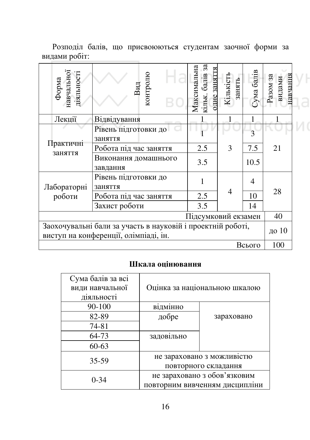| Форма<br>навчальної<br>діяльності                                                                             | контролю<br>Вид                   | $3\overline{a}$<br>Максимальна<br>одне заняття<br>кільк. балів | Кількість<br>занять | Сума балів | навчання<br>видами<br>Разом за |  |  |
|---------------------------------------------------------------------------------------------------------------|-----------------------------------|----------------------------------------------------------------|---------------------|------------|--------------------------------|--|--|
| Лекції                                                                                                        | <b>Відвідування</b>               |                                                                |                     |            |                                |  |  |
|                                                                                                               | Рівень підготовки до              |                                                                |                     | 3          |                                |  |  |
| Практичні                                                                                                     | заняття<br>Робота під час заняття | 2.5                                                            | 3                   | 7.5        | 21                             |  |  |
| заняття                                                                                                       | Виконання домашнього<br>завдання  | 3.5                                                            |                     | 10.5       |                                |  |  |
| Лабораторні                                                                                                   | Рівень підготовки до<br>заняття   | 1                                                              |                     | 4          |                                |  |  |
| роботи                                                                                                        | Робота під час заняття            | 2.5                                                            | $\overline{4}$      | 10         | 28                             |  |  |
|                                                                                                               | Захист роботи                     | 3.5                                                            |                     | 14         |                                |  |  |
|                                                                                                               | 40                                |                                                                |                     |            |                                |  |  |
| Заохочувальні бали за участь в науковій і проектній роботі,<br>до 10<br>виступ на конференції, олімпіаді, ін. |                                   |                                                                |                     |            |                                |  |  |
| 100<br>Всього                                                                                                 |                                   |                                                                |                     |            |                                |  |  |

Розподіл балів, що присвоюються студентам заочної форми за видами робіт:

# Шкала оцінювання

| Сума балів за всі<br>види навчальної<br>діяльності | Оцінка за національною шкалою |                                |  |  |  |  |  |
|----------------------------------------------------|-------------------------------|--------------------------------|--|--|--|--|--|
| 90-100                                             | відмінно                      |                                |  |  |  |  |  |
| 82-89                                              | добре                         | зараховано                     |  |  |  |  |  |
| 74-81                                              |                               |                                |  |  |  |  |  |
| 64-73                                              | задовільно                    |                                |  |  |  |  |  |
| $60 - 63$                                          |                               |                                |  |  |  |  |  |
| 35-59                                              |                               | не зараховано з можливістю     |  |  |  |  |  |
|                                                    |                               | повторного складання           |  |  |  |  |  |
| $0 - 34$                                           | не зараховано з обов'язковим  |                                |  |  |  |  |  |
|                                                    |                               | повторним вивченням дисципліни |  |  |  |  |  |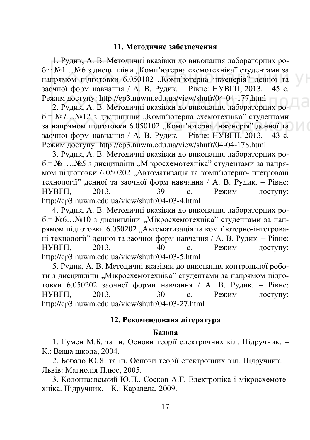#### 11. Метоличне забезпечення

1. Рудик, А. В. Методичні вказівки до виконання лабораторних робіт №1…№6 з дисципліни "Комп'ютерна схемотехніка" студентами за напрямом підготовки 6.050102 "Комп'ютерна інженерія" денної та заочної форм навчання / А. В. Рудик. – Рівне: НУВГП, 2013. – 45 с. Режим доступу: http://ep3.nuwm.edu.ua/view/shufr/04-04-177.html

2. Рудик, А. В. Методичні вказівки до виконання лабораторних робіт №7…№12 з дисципліни "Комп'ютерна схемотехніка" студентами за напрямом підготовки 6.050102 "Комп'ютерна інженерія" денної та заочної форм навчання / А. В. Рудик. – Рівне: НУВГП, 2013. – 43 с. Режим доступу: http://ep3.nuwm.edu.ua/view/shufr/04-04-178.html

3. Рудик, А. В. Методичні вказівки до виконання лабораторних робіт №1…№5 з дисципліни "Мікросхемотехніка" студентами за напрямом підготовки 6.050202 "Автоматизація та комп'ютерно-інтегровані технології" ленної та заочної форм навчання / А. В. Рулик. – Рівне: HYBITI, 2013. – 39 c. Режим доступу: http://ep3.nuwm.edu.ua/view/shufr/04-03-4.html

4. Рудик, А. В. Методичні вказівки до виконання лабораторних робіт №6…№10 з дисципліни "Мікросхемотехніка" студентами за напрямом підготовки 6.050202 "Автоматизація та комп'ютерно-інтегровані технології" денної та заочної форм навчання / А. В. Рудик. – Рівне: НУВГП, 2013. – 40 с. Режим доступу: http://ep3.nuwm.edu.ua/view/shufr/04-03-5.html

5. Рулик, А. В. Метоличні вказівки до виконання контрольної роботи з дисципліни "Мікросхемотехніка" студентами за напрямом підготовки 6.050202 заочної форми навчання / А. В. Рудик. – Рівне: HУВГП, 2013. – 30 с. Режим доступу: http://ep3.nuwm.edu.ua/view/shufr/04-03-27.html

#### **12. Рекомендована література**

#### **Базова**

1. Гумен М.Б. та ін. Основи теорії електричних кіл. Підручник. – К.: Вища школа, 2004.

2. Бобало Ю.Я. та ін. Основи теорії електронних кіл. Підручник. – Львів: Магнолія Плюс. 2005.

3. Колонтаєвський Ю.П., Сосков А.Г. Електроніка і мікросхемотехніка. Підручник. – К.: Каравела, 2009.